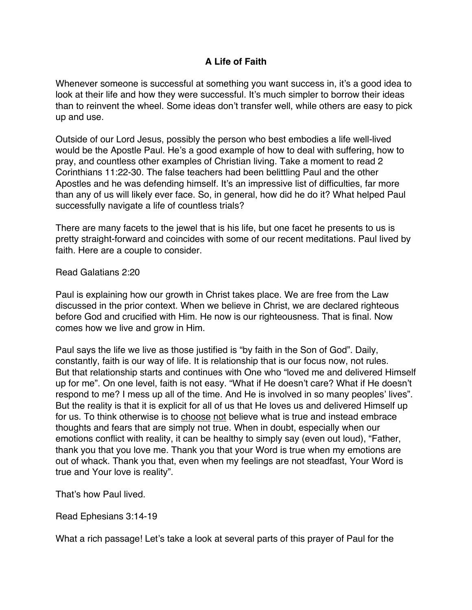## **A Life of Faith**

Whenever someone is successful at something you want success in, it's a good idea to look at their life and how they were successful. It's much simpler to borrow their ideas than to reinvent the wheel. Some ideas don't transfer well, while others are easy to pick up and use.

Outside of our Lord Jesus, possibly the person who best embodies a life well-lived would be the Apostle Paul. He's a good example of how to deal with suffering, how to pray, and countless other examples of Christian living. Take a moment to read 2 Corinthians 11:22-30. The false teachers had been belittling Paul and the other Apostles and he was defending himself. It's an impressive list of difficulties, far more than any of us will likely ever face. So, in general, how did he do it? What helped Paul successfully navigate a life of countless trials?

There are many facets to the jewel that is his life, but one facet he presents to us is pretty straight-forward and coincides with some of our recent meditations. Paul lived by faith. Here are a couple to consider.

Read Galatians 2:20

Paul is explaining how our growth in Christ takes place. We are free from the Law discussed in the prior context. When we believe in Christ, we are declared righteous before God and crucified with Him. He now is our righteousness. That is final. Now comes how we live and grow in Him.

Paul says the life we live as those justified is "by faith in the Son of God". Daily, constantly, faith is our way of life. It is relationship that is our focus now, not rules. But that relationship starts and continues with One who "loved me and delivered Himself up for me". On one level, faith is not easy. "What if He doesn't care? What if He doesn't respond to me? I mess up all of the time. And He is involved in so many peoples' lives". But the reality is that it is explicit for all of us that He loves us and delivered Himself up for us. To think otherwise is to choose not believe what is true and instead embrace thoughts and fears that are simply not true. When in doubt, especially when our emotions conflict with reality, it can be healthy to simply say (even out loud), "Father, thank you that you love me. Thank you that your Word is true when my emotions are out of whack. Thank you that, even when my feelings are not steadfast, Your Word is true and Your love is reality".

That's how Paul lived.

Read Ephesians 3:14-19

What a rich passage! Let's take a look at several parts of this prayer of Paul for the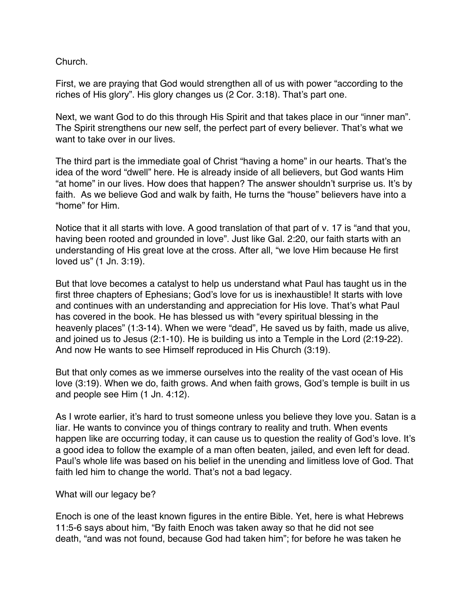Church.

First, we are praying that God would strengthen all of us with power "according to the riches of His glory". His glory changes us (2 Cor. 3:18). That's part one.

Next, we want God to do this through His Spirit and that takes place in our "inner man". The Spirit strengthens our new self, the perfect part of every believer. That's what we want to take over in our lives.

The third part is the immediate goal of Christ "having a home" in our hearts. That's the idea of the word "dwell" here. He is already inside of all believers, but God wants Him "at home" in our lives. How does that happen? The answer shouldn't surprise us. It's by faith. As we believe God and walk by faith, He turns the "house" believers have into a "home" for Him.

Notice that it all starts with love. A good translation of that part of v. 17 is "and that you, having been rooted and grounded in love". Just like Gal. 2:20, our faith starts with an understanding of His great love at the cross. After all, "we love Him because He first loved us" (1 Jn. 3:19).

But that love becomes a catalyst to help us understand what Paul has taught us in the first three chapters of Ephesians; God's love for us is inexhaustible! It starts with love and continues with an understanding and appreciation for His love. That's what Paul has covered in the book. He has blessed us with "every spiritual blessing in the heavenly places" (1:3-14). When we were "dead", He saved us by faith, made us alive, and joined us to Jesus (2:1-10). He is building us into a Temple in the Lord (2:19-22). And now He wants to see Himself reproduced in His Church (3:19).

But that only comes as we immerse ourselves into the reality of the vast ocean of His love (3:19). When we do, faith grows. And when faith grows, God's temple is built in us and people see Him (1 Jn. 4:12).

As I wrote earlier, it's hard to trust someone unless you believe they love you. Satan is a liar. He wants to convince you of things contrary to reality and truth. When events happen like are occurring today, it can cause us to question the reality of God's love. It's a good idea to follow the example of a man often beaten, jailed, and even left for dead. Paul's whole life was based on his belief in the unending and limitless love of God. That faith led him to change the world. That's not a bad legacy.

What will our legacy be?

Enoch is one of the least known figures in the entire Bible. Yet, here is what Hebrews 11:5-6 says about him, "By faith Enoch was taken away so that he did not see death, "and was not found, because God had taken him"; for before he was taken he